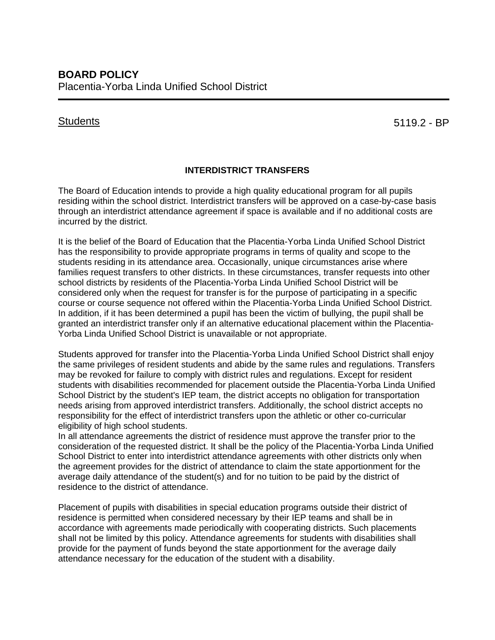## **Students**

5119.2 - BP

## **INTERDISTRICT TRANSFERS**

The Board of Education intends to provide a high quality educational program for all pupils residing within the school district. Interdistrict transfers will be approved on a case-by-case basis through an interdistrict attendance agreement if space is available and if no additional costs are incurred by the district.

It is the belief of the Board of Education that the Placentia-Yorba Linda Unified School District has the responsibility to provide appropriate programs in terms of quality and scope to the students residing in its attendance area. Occasionally, unique circumstances arise where families request transfers to other districts. In these circumstances, transfer requests into other school districts by residents of the Placentia-Yorba Linda Unified School District will be considered only when the request for transfer is for the purpose of participating in a specific course or course sequence not offered within the Placentia-Yorba Linda Unified School District. In addition, if it has been determined a pupil has been the victim of bullying, the pupil shall be granted an interdistrict transfer only if an alternative educational placement within the Placentia-Yorba Linda Unified School District is unavailable or not appropriate.

Students approved for transfer into the Placentia-Yorba Linda Unified School District shall enjoy the same privileges of resident students and abide by the same rules and regulations. Transfers may be revoked for failure to comply with district rules and regulations. Except for resident students with disabilities recommended for placement outside the Placentia-Yorba Linda Unified School District by the student's IEP team, the district accepts no obligation for transportation needs arising from approved interdistrict transfers. Additionally, the school district accepts no responsibility for the effect of interdistrict transfers upon the athletic or other co-curricular eligibility of high school students.

In all attendance agreements the district of residence must approve the transfer prior to the consideration of the requested district. It shall be the policy of the Placentia-Yorba Linda Unified School District to enter into interdistrict attendance agreements with other districts only when the agreement provides for the district of attendance to claim the state apportionment for the average daily attendance of the student(s) and for no tuition to be paid by the district of residence to the district of attendance.

Placement of pupils with disabilities in special education programs outside their district of residence is permitted when considered necessary by their IEP teams and shall be in accordance with agreements made periodically with cooperating districts. Such placements shall not be limited by this policy. Attendance agreements for students with disabilities shall provide for the payment of funds beyond the state apportionment for the average daily attendance necessary for the education of the student with a disability.